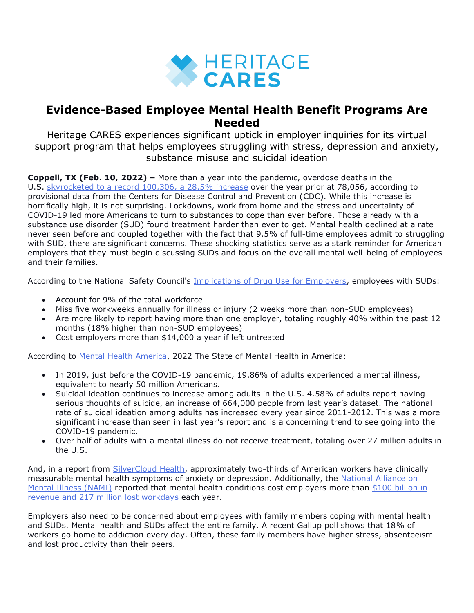

## **Evidence-Based Employee Mental Health Benefit Programs Are Needed**

Heritage CARES experiences significant uptick in employer inquiries for its virtual support program that helps employees struggling with stress, depression and anxiety, substance misuse and suicidal ideation

**Coppell, TX (Feb. 10, 2022) –** More than a year into the pandemic, overdose deaths in the U.S. [skyrocketed to a record 100,306, a 28.5%](https://www.cdc.gov/nchs/pressroom/nchs_press_releases/2021/20211117.htm) increase over the year prior at 78,056, according to provisional data from the Centers for Disease Control and Prevention (CDC). While this increase is horrifically high, it is not surprising. Lockdowns, work from home and the stress and uncertainty of COVID-19 led more Americans to turn to substances to cope than ever before. Those already with a substance use disorder (SUD) found treatment harder than ever to get. Mental health declined at a rate never seen before and coupled together with the fact that 9.5% of full-time employees admit to struggling with SUD, there are significant concerns. These shocking statistics serve as a stark reminder for American employers that they must begin discussing SUDs and focus on the overall mental well-being of employees and their families.

According to the National Safety Council's [Implications of Drug Use for Employers,](https://www.nsc.org/work-safety/safety-topics/drugs-at-work/substances) employees with SUDs:

- Account for 9% of the total workforce
- Miss five workweeks annually for illness or injury (2 weeks more than non-SUD employees)
- Are more likely to report having more than one employer, totaling roughly 40% within the past 12 months (18% higher than non-SUD employees)
- Cost employers more than \$14,000 a year if left untreated

According to [Mental Health America,](https://mhanational.org/issues/2021/mental-health-america-prevalence-data) 2022 The State of Mental Health in America:

- In 2019, just before the COVID-19 pandemic, 19.86% of adults experienced a mental illness, equivalent to nearly 50 million Americans.
- Suicidal ideation continues to increase among adults in the U.S. 4.58% of adults report having serious thoughts of suicide, an increase of 664,000 people from last year's dataset. The national rate of suicidal ideation among adults has increased every year since 2011-2012. This was a more significant increase than seen in last year's report and is a concerning trend to see going into the COVID-19 pandemic.
- Over half of adults with a mental illness do not receive treatment, totaling over 27 million adults in the U.S.

And, in a report from [SilverCloud Health,](https://www.silvercloudhealth.com/us/landing-page/employer-mentalhealth-survey) approximately two-thirds of American workers have clinically measurable mental health symptoms of anxiety or depression. Additionally, the National Alliance on [Mental Illness \(NAMI\)](https://namipierce.org/why-employers-need-to-talk-about-mental-illness-in-the-workplace/) reported that mental health conditions cost employers more than \$100 billion in [revenue and 217 million lost workdays](https://www.businessgrouphealth.org/resources/topics/mental_health_1.cfm) each year.

Employers also need to be concerned about employees with family members coping with mental health and SUDs. Mental health and SUDs affect the entire family. A recent Gallup poll shows that 18% of workers go home to addiction every day. Often, these family members have higher stress, absenteeism and lost productivity than their peers.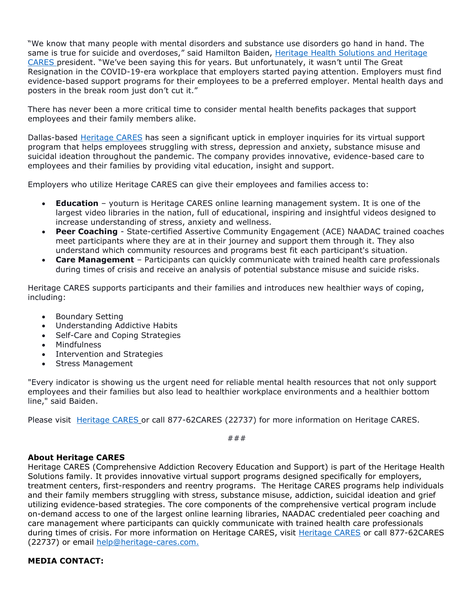"We know that many people with mental disorders and substance use disorders go hand in hand. The same is true for suicide and overdoses," said Hamilton Baiden, Heritage Health [Solutions](https://heritagehealthsolutions.com/leadership?utm_source=press+release&utm_medium=accesswire&utm_campaign=evidence-based%2Bemployee%2Bmental%2Bhealth%2Bbenefit%2Bprograms+) and Heritage [CARES](https://heritagehealthsolutions.com/leadership?utm_source=press+release&utm_medium=accesswire&utm_campaign=evidence-based%2Bemployee%2Bmental%2Bhealth%2Bbenefit%2Bprograms+) president. "We've been saying this for years. But unfortunately, it wasn't until The Great Resignation in the COVID-19-era workplace that employers started paying attention. Employers must find evidence-based support programs for their employees to be a preferred employer. Mental health days and posters in the break room just don't cut it."

There has never been a more critical time to consider mental health benefits packages that support employees and their family members alike.

Dallas-based [Heritage](https://heritagehealthsolutions.com/employers/?utm_source=press+release&utm_medium=accesswire&utm_campaign=evidence-based%2Bemployee%2Bmental%2Bhealth%2Bbenefit%2Bprograms+) CARES has seen a significant uptick in employer inquiries for its virtual support program that helps employees struggling with stress, depression and anxiety, substance misuse and suicidal ideation throughout the pandemic. The company provides innovative, evidence-based care to employees and their families by providing vital education, insight and support.

Employers who utilize Heritage CARES can give their employees and families access to:

- **Education** youturn is Heritage CARES online learning management system. It is one of the largest video libraries in the nation, full of educational, inspiring and insightful videos designed to increase understanding of stress, anxiety and wellness.
- **Peer Coaching** State-certified Assertive Community Engagement (ACE) NAADAC trained coaches meet participants where they are at in their journey and support them through it. They also understand which community resources and programs best fit each participant's situation.
- **Care Management** Participants can quickly communicate with trained health care professionals during times of crisis and receive an analysis of potential substance misuse and suicide risks.

Heritage CARES supports participants and their families and introduces new healthier ways of coping, including:

- Boundary Setting
- Understanding Addictive Habits
- Self-Care and Coping Strategies
- Mindfulness
- Intervention and Strategies
- Stress Management

"Every indicator is showing us the urgent need for reliable mental health resources that not only support employees and their families but also lead to healthier workplace environments and a healthier bottom line," said Baiden.

Please visit [Heritage](https://heritagehealthsolutions.com/employers/?utm_source=press+release&utm_medium=accesswire&utm_campaign=evidence-based%2Bemployee%2Bmental%2Bhealth%2Bbenefit%2Bprograms+) CARES or call 877-62CARES (22737) for more information on Heritage CARES.

###

## **About Heritage CARES**

Heritage CARES (Comprehensive Addiction Recovery Education and Support) is part of the Heritage Health Solutions family. It provides innovative virtual support programs designed specifically for employers, treatment centers, first-responders and reentry programs. The Heritage CARES programs help individuals and their family members struggling with stress, substance misuse, addiction, suicidal ideation and grief utilizing evidence-based strategies. The core components of the comprehensive vertical program include on-demand access to one of the largest online learning libraries, NAADAC credentialed peer coaching and care management where participants can quickly communicate with trained health care professionals during times of crisis. For more information on [Heritage](https://heritagehealthsolutions.com/heritage-cares/?utm_source=press+release&utm_medium=accesswire&utm_campaign=evidence-based%2Bemployee%2Bmental%2Bhealth%2Bbenefit%2Bprograms+) CARES, visit Heritage CARES or call 877-62CARES (22737) or email [help@heritage-cares.com.](mailto:help@heritage-cares.com)

## **MEDIA CONTACT:**